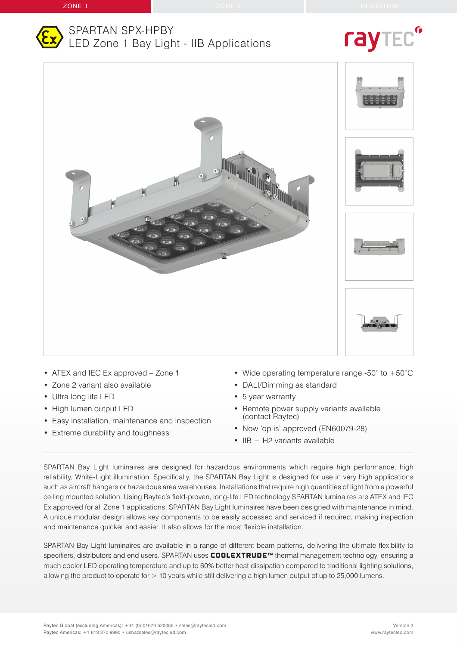

### SPARTAN SPX-HPBY LED Zone 1 Bay Light - IIB Applications

# ray



- ATEX and IEC Ex approved Zone 1
- Zone 2 variant also available
- Ultra long life LED
- High lumen output LED
- Easy installation, maintenance and inspection
- Extreme durability and toughness
- Wide operating temperature range -50° to +50°C
- DALI/Dimming as standard
- 5 year warranty
- Remote power supply variants available (contact Raytec)
- Now 'op is' approved (EN60079-28)
- $\cdot$  IIB + H2 variants available

SPARTAN Bay Light luminaires are designed for hazardous environments which require high performance, high reliability, White-Light illumination. Specifically, the SPARTAN Bay Light is designed for use in very high applications such as aircraft hangers or hazardous area warehouses. Installations that require high quantities of light from a powerful ceiling mounted solution. Using Raytec's field-proven, long-life LED technology SPARTAN luminaires are ATEX and IEC Ex approved for all Zone 1 applications. SPARTAN Bay Light luminaires have been designed with maintenance in mind. A unique modular design allows key components to be easily accessed and serviced if required, making inspection and maintenance quicker and easier. It also allows for the most flexible installation.

SPARTAN Bay Light luminaires are available in a range of different beam patterns, delivering the ultimate flexibility to specifiers, distributors and end users. SPARTAN uses COOLEXTRUDE™ thermal management technology, ensuring a much cooler LED operating temperature and up to 60% better heat dissipation compared to traditional lighting solutions, allowing the product to operate for > 10 years while still delivering a high lumen output of up to 25,000 lumens.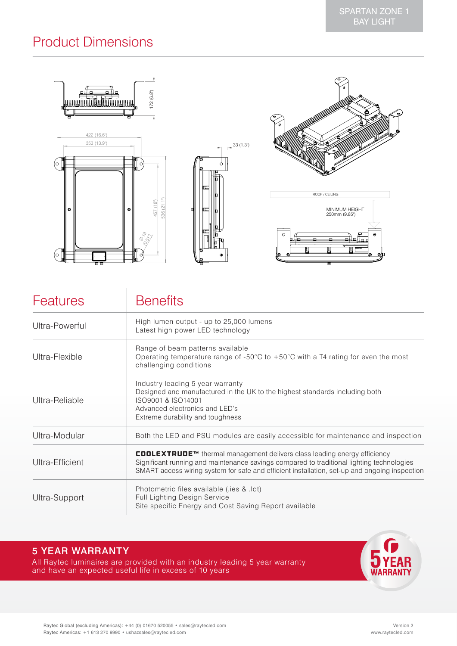# Product Dimensions

| 172(6.8)                                                                                                                                                                                   |                     | ο<br>$\bullet$<br>$\mathfrak{S}$<br>α                                                                  |
|--------------------------------------------------------------------------------------------------------------------------------------------------------------------------------------------|---------------------|--------------------------------------------------------------------------------------------------------|
| 422 (16.6")<br>353 (13.9")<br>m<br>16<br>O                                                                                                                                                 | 33(1.3)<br>m<br>ᅊ   |                                                                                                        |
| €<br>457 (18")<br>$\overline{\phantom{a}}$<br>$\overline{C}$<br>l G<br>$\bullet$<br>536<br>$\varnothing_{\gamma_{\mathcal{S}}}$<br>$\mathcal{S}_{\mathcal{F}\gamma}$<br>Ш<br>(O<br>Ø<br>88 | п<br>℡<br>$\bullet$ | ROOF / CEILING<br>MINIMUM HEIGHT<br>250mm (9.85")<br>$-$<br>$\bullet$<br>$\circ$<br>n<br>eЮ<br>Ō.<br>▭ |

| <b>Features</b> | <b>Benefits</b>                                                                                                                                                                                                                                                        |
|-----------------|------------------------------------------------------------------------------------------------------------------------------------------------------------------------------------------------------------------------------------------------------------------------|
| Ultra-Powerful  | High lumen output - up to 25,000 lumens<br>Latest high power LED technology                                                                                                                                                                                            |
| Ultra-Flexible  | Range of beam patterns available<br>Operating temperature range of -50 $\degree$ C to +50 $\degree$ C with a T4 rating for even the most<br>challenging conditions                                                                                                     |
| Ultra-Reliable  | Industry leading 5 year warranty<br>Designed and manufactured in the UK to the highest standards including both<br>ISO9001 & ISO14001<br>Advanced electronics and LED's<br>Extreme durability and toughness                                                            |
| Ultra-Modular   | Both the LED and PSU modules are easily accessible for maintenance and inspection                                                                                                                                                                                      |
| Ultra-Efficient | COOLEXTRUDE™ thermal management delivers class leading energy efficiency<br>Significant running and maintenance savings compared to traditional lighting technologies<br>SMART access wiring system for safe and efficient installation, set-up and ongoing inspection |
| Ultra-Support   | Photometric files available (.ies & .ldt)<br>Full Lighting Design Service<br>Site specific Energy and Cost Saving Report available                                                                                                                                     |

### 5 YEAR WARRANTY

All Raytec luminaires are provided with an industry leading 5 year warranty and have an expected useful life in excess of 10 years

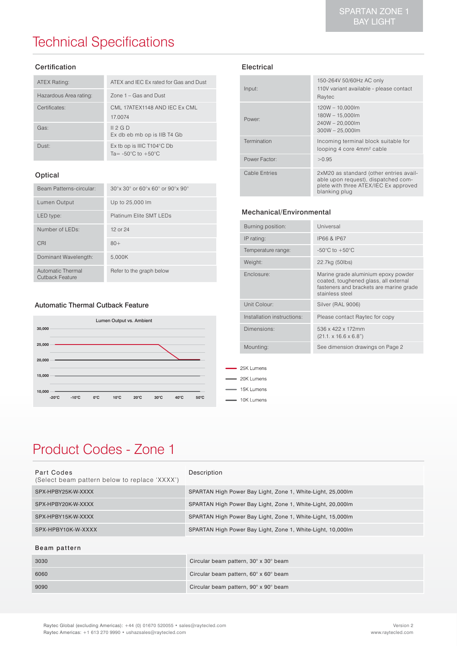# Technical Specifications

#### Certification

| ATEX Rating:           | ATEX and IEC Ex rated for Gas and Dust                               |
|------------------------|----------------------------------------------------------------------|
| Hazardous Area rating: | $7$ one 1 – Gas and Dust                                             |
| Certificates:          | CML 17ATEX1148 AND IEC Ex CML<br>17.0074                             |
| Gas:                   | II 2 G D<br>Ex db eb mb op is IIB T4 Gb                              |
| Dust:                  | Ex tb op is IIIC T104°C Db<br>Ta= $-50^{\circ}$ C to $+50^{\circ}$ C |

#### Optical

| Beam Patterns-circular:              | $30^\circ$ x $30^\circ$ or $60^\circ$ x $60^\circ$ or $90^\circ$ x $90^\circ$ |
|--------------------------------------|-------------------------------------------------------------------------------|
| Lumen Output                         | Up to 25,000 lm                                                               |
| LED type:                            | Platinum Elite SMT LEDs                                                       |
| Number of LEDs:                      | 12 or 24                                                                      |
| CRI                                  | $80+$                                                                         |
| Dominant Wavelength:                 | 5.000K                                                                        |
| Automatic Thermal<br>Cutback Feature | Refer to the graph below                                                      |

#### Automatic Thermal Cutback Feature



#### Input: 150-264V 50/60Hz AC only 110V variant available - please contact Raytec Power: 120W – 10,000lm 180W – 15,000lm 240W – 20,000lm 300W – 25,000lm Termination **Incoming terminal block suitable for** looping 4 core 4mm² cable Power Factor:  $>0.95$ Cable Entries 2xM20 as standard (other entries available upon request), dispatched complete with three ATEX/IEC Ex approved blanking plug

#### Mechanical/Environmental

Electrical

| Burning position:          | Universal                                                                                                                                  |
|----------------------------|--------------------------------------------------------------------------------------------------------------------------------------------|
| IP rating:                 | IP66 & IP67                                                                                                                                |
| Temperature range:         | -50 $\mathrm{^{\circ}C}$ to +50 $\mathrm{^{\circ}C}$                                                                                       |
| Weight:                    | 22.7kg (50lbs)                                                                                                                             |
| Enclosure:                 | Marine grade aluminium epoxy powder<br>coated, toughened glass, all external<br>fasteners and brackets are marine grade<br>stainless steel |
| Unit Colour:               | Silver (RAL 9006)                                                                                                                          |
| Installation instructions: | Please contact Raytec for copy                                                                                                             |
| Dimensions:                | 536 x 422 x 172mm<br>$(21.1 \times 16.6 \times 6.8")$                                                                                      |
| Mounting:                  | See dimension drawings on Page 2                                                                                                           |
|                            |                                                                                                                                            |

# Product Codes - Zone 1

| Part Codes<br>(Select beam pattern below to replace 'XXXX') | Description                                                 |
|-------------------------------------------------------------|-------------------------------------------------------------|
| SPX-HPBY25K-W-XXXX                                          | SPARTAN High Power Bay Light, Zone 1, White-Light, 25,000lm |
| SPX-HPBY20K-W-XXXX                                          | SPARTAN High Power Bay Light, Zone 1, White-Light, 20,000lm |
| SPX-HPBY15K-W-XXXX                                          | SPARTAN High Power Bay Light, Zone 1, White-Light, 15,000lm |
| SPX-HPBY10K-W-XXXX                                          | SPARTAN High Power Bay Light, Zone 1, White-Light, 10,000lm |

25K Lumens 20K Lumens 15K Lumens 10K Lumens

#### Beam pattern

| 3030 | Circular beam pattern, 30° x 30° beam |
|------|---------------------------------------|
| 6060 | Circular beam pattern, 60° x 60° beam |
| 9090 | Circular beam pattern, 90° x 90° beam |